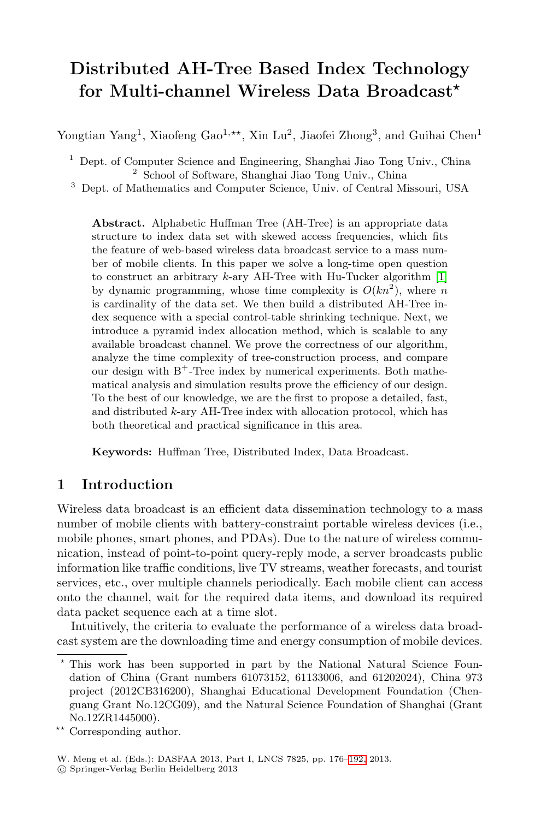# **Distributed AH-Tree Based Index Technology for Multi-channel Wireless Data Broadcast***-*

Yongtian Yang<sup>1</sup>, Xiaofeng Gao<sup>1,\*\*</sup>, Xin Lu<sup>2</sup>, Jiaofei Zhong<sup>3</sup>, and Guihai Chen<sup>1</sup>

<sup>1</sup> Dept. of Computer Science and Engineering, Shangh[ai](#page-15-0) Jiao Tong Univ., China <sup>2</sup> School of Software, Shanghai Jiao Tong Univ., China

<sup>3</sup> Dept. of Mathematics and Computer Science, Univ. of Central Missouri, USA

**Abstract.** Alphabetic Huffman Tree (AH-Tree) is an appropriate data structure to index data set with skewed access frequencies, which fits the feature of web-based wireless data broadcast service to a mass number of mobile clients. In this paper we solve a long-time open question to construct an arbitrary  $k$ -ary AH-Tree with Hu-Tucker algorithm [1] by dynamic programming, whose time complexity is  $O(kn^2)$ , where n is cardinality of the data set. We then build a distributed AH-Tree index sequence with a special control-table shrinking technique. Next, we introduce a pyramid index allocation method, which is scalable to any available broadcast channel. We prove the correctness of our algorithm, analyze the time complexity of tree-construction process, and compare our design with  $B^+$ -Tree index by numerical experiments. Both mathematical analysis and simulation results prove the efficiency of our design. To the best of our knowledge, we are the first to propose a detailed, fast, and distributed k-ary AH-Tree index with allocation protocol, which has both theoretical and practical significance in this area.

**Keywords:** Huffman Tree, Distributed Index, Data Broadcast.

## **1 Introduction**

Wireless data broadcast is an efficient data dissemination technology to a mass number of mobile clients with battery-constraint portable wireless devices (i.e., mobile phones, smart phones, and PDAs). Due to the nature of wireless communication, instead of point-to-point query-reply mode, a server broadcasts public information like traffic conditions, live TV streams, weather forecasts, and tourist services, etc., over multiple channels periodically. Each mobile client can access onto the channel, wait for the required data items, and download its required data packet sequence each at a time slot.

Intuitively, the criteria to evaluate the performance of a wireless data broadcast system are the downloading tim[e and](#page-16-0) energy consumption of mobile devices.

<sup>-</sup> This work has been supported in part by the National Natural Science Foundation of China (Grant numbers 61073152, 61133006, and 61202024), China 973 project (2012CB316200), Shanghai Educational Development Foundation (Chenguang Grant No.12CG09), and the Natural Science Foundation of Shanghai (Grant No.12ZR1445000).

<sup>\*\*</sup> Corresponding author.

W. Meng et al. (Eds.): DASFAA 2013, Part I, LNCS 7825, pp. 176–192, 2013.

<sup>-</sup>c Springer-Verlag Berlin Heidelberg 2013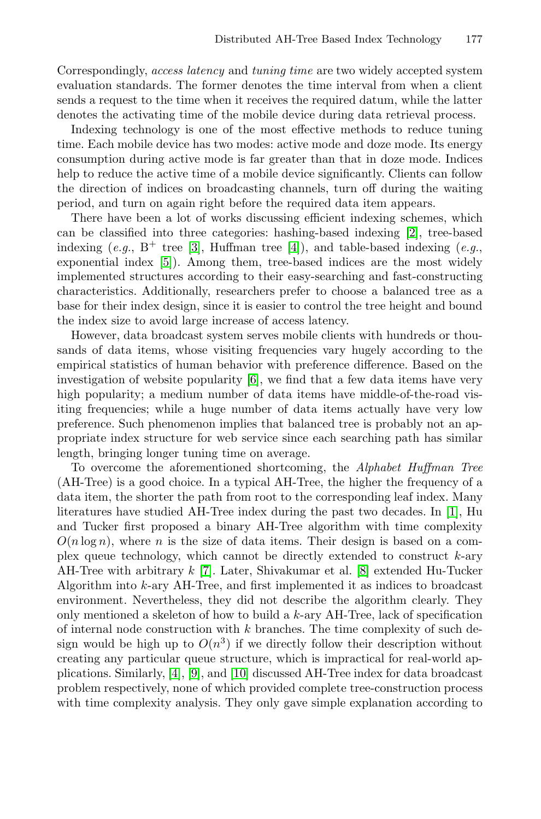Correspondingly, *access latency* and *tuning time* are two widely accepted system evaluation standards. The former denotes the time interval from when a client sends a request to the time when it receives the required datum, while the latter denotes the activating time of the mobile devic[e d](#page-15-1)uring data retrieval process.

Inde[xi](#page-15-2)ng technology i[s o](#page-15-3)ne of the most effective methods to reduce tuning ti[m](#page-15-4)e. Each mobile device has two modes: active mode and doze mode. Its energy consumption during active mode is far greater than that in doze mode. Indices help to reduce the active time of a mobile device significantly. Clients can follow the direction of indices on broadcasting channels, turn off during the waiting period, and turn on again right before the required data item appears.

There have been a lot of works discussing efficient indexing schemes, which can be classified into three categories: hashing-based indexing [2], tree-based indexing (*e.g.*,  $B^+$  tree [3], Huffman tree [4]), and table-based indexing (*e.g.*, exponential inde[x \[](#page-15-5)5]). Among them, tree-based indices are the most widely implemented structures according to their easy-searching and fast-constructing characteristics. Additionally, researchers prefer to choose a balanced tree as a base for their index design, since it is easier to control the tree height and bound the index size to avoid large increase of access latency.

However, data broadcast system serves mobile clients with hundreds or thousands of data items, whose visiting frequencies vary hugely according to the empirical statistics of human behavior with preference difference. Based on the investigation of website popularity [6], we find that a few data items have very high popularity; a medium number of data items hav[e m](#page-15-0)iddle-of-the-road visiting frequencies; while a huge number of data items actually have very low preference. Such phenomenon implies that balanced tree is probably not an appropriate index structure for web service since each searching path has similar length, b[rin](#page-15-6)ging longer tuning time on [a](#page-15-7)verage.

To overcome the aforementioned shortcoming, the *Alphabet Huffman Tree* (AH-Tree) is a good choice. In a typical AH-Tree, the higher the frequency of a data item, the shorter the path from root to the corresponding leaf index. Many literatures have studied AH-Tree index during the past two decades. In [1], Hu and Tucker first proposed a binary AH-Tree algorithm with time complexity  $O(n \log n)$ , where n is the size of data items. Their design is based on a comple[x](#page-15-3) q[ue](#page-15-8)ue te[chno](#page-15-9)logy, which cannot be directly extended to construct  $k$ -ary AH-Tree with arbitrary k [7]. Later, Shivakumar et al. [8] extended Hu-Tucker Algorithm into k-ary AH-Tree, and first implemented it as indices to broadcast environment. Nevertheless, they did not describe the algorithm clearly. They only mentioned a skeleton of how to build a  $k$ -ary AH-Tree, lack of specification of internal node construction with  $k$  branches. The time complexity of such design would be high up to  $O(n^3)$  if we directly follow their description without creating any particular queue structure, which is impractical for real-world applications. Similarly, [4], [9], and [10] discussed AH-Tree index for data broadcast problem respectively, none of which provided complete tree-construction process with time complexity analysis. They only gave simple explanation according to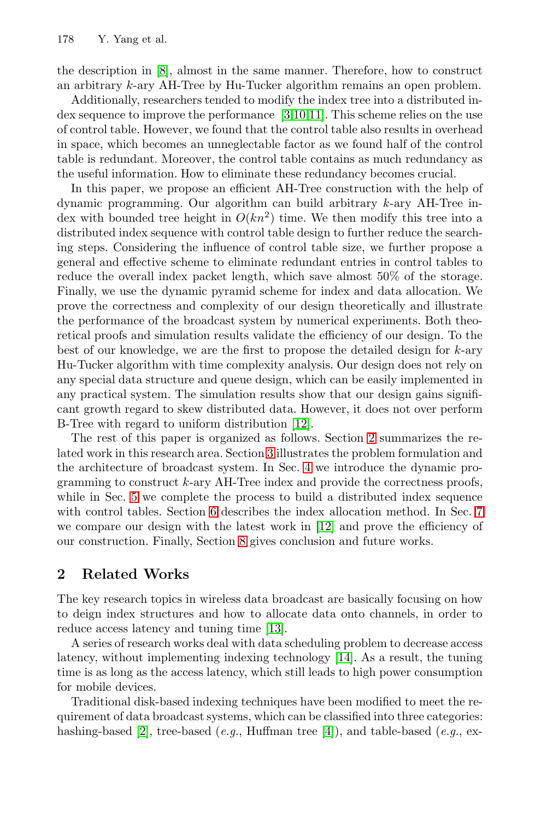the description in [8], almost in the same manner. Therefore, how to construct an arbitrary k-ary AH-Tree by Hu-Tucker algorithm remains an open problem.

Additionally, researchers tended to modify the index tree into a distributed index sequence to improve the performance [3,10,11]. This scheme relies on the use of control table. However, we found that the control table also results in overhead in space, which becomes an unneglectable factor as we found half of the control table is redundant. Moreover, the control table contains as much redundancy as the useful information. How to eliminate these redundancy becomes crucial.

In this paper, we propose an efficient AH-Tree construction with the help of dynamic programming. Our algorithm can build arbitrary k-ary AH-Tree index with bounded tree height in  $O(kn^2)$  time. We then modify this tree into a distributed index sequence with control table design to further reduce the searching steps. Considering the influence of control table size, we further propose a general and effective scheme to eliminate redundant entries in control tables to reduce the overall index packet length, which save almost 50% of the storage. Finally, we use the dynamic pyramid scheme for index and data allocation. We prove the correctness and [com](#page-16-1)plexity of our design theoretically and illustrate the performance of the broadcast syste[m](#page-2-0) by numerical experiments. Both theoretical proofs and si[mu](#page-3-0)lation results validate the efficiency of our design. To the best of our knowledge, we a[re](#page-4-0) the first to propose the detailed design for  $k$ -ary Hu-Tucker algorithm with time complexity analysis. Our design does not rely on any special data structure and queue design, which can be easily implemented in any practi[ca](#page-11-0)l system. The simulation results show that our [de](#page-12-0)sign gains significant growth regard to skew di[strib](#page-16-1)uted data. However, it does not over perform B-Tree with reg[ar](#page-15-10)d to uniform distribution [12].

<span id="page-2-0"></span>The rest of this paper is organized as follows. Section 2 summarizes the related work in this research area. Section 3 illustrates the problem formulation and the architecture of broadcast system. In Sec. 4 we introduce the dynamic programming to construct  $k$ -ary AH-Tree index and provide the correctness proofs, while in Sec. 5 we complete the process to build a distributed index sequence with control tables. [Sect](#page-16-2)ion 6 describes the index allocation method. In Sec. 7 we compare our design with the latest work in [12] and prove the efficiency of our construction. Finally, Section [8 gi](#page-16-3)ves conclusion and future works.

## **2 Related Works**

The key research topics in wireless data broadcast are basically focusing on how to deign index structures and [ho](#page-15-3)w to allocate data onto channels, in order to reduce access latency and tuning time [13].

A series of research works deal with data scheduling problem to decrease access latency, without implementing indexing technology [14]. As a result, the tuning time is as long as the access latency, which still leads to high power consumption for mobile devices.

Traditional disk-based indexing techniques have been modified to meet the requirement of data broadcast systems, which can be classified into three categories: hashing-based [2], tree-based (*e.g.*, Huffman tree [4]), and table-based (*e.g.*, ex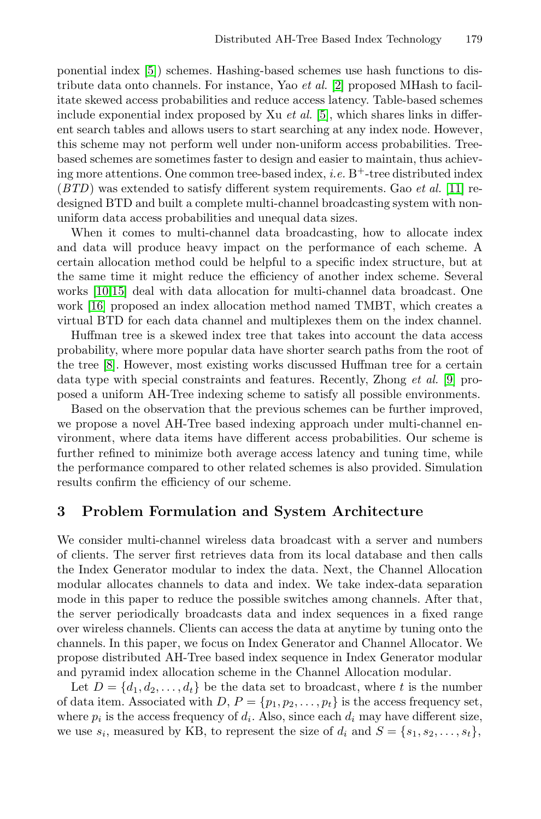ponential index [5]) schemes. Hashing-based schemes [use h](#page-15-11)ash functions to distribute data onto channels. For instance, Yao *et al.* [2] proposed MHash to facilitate skewed access probabilities and reduce access latency. Table-based schemes include exponential index proposed by Xu *et al.* [5], which shares links in different search tables and allows users to start searching at any index node. However, this scheme may not perform well under non-uniform access probabilities. Treebased schemes are sometimes faster to design and easier to maintain, thus achieving more attentions. One common tree-based index, *i.e.*  $B^+$ -tree distributed index (*BTD*) was extended to satisfy different system requirements. Gao *et al.* [11] redesigned BTD and built a complete multi-channel broadcasting system with nonuniform data access probabilities and unequal data sizes.

<span id="page-3-0"></span>When it comes to multi-channel data broadcasting, how to allocate index and data will produce heavy impact on the performance of each scheme. A certain allocation method could be helpful to a specifi[c](#page-15-8) index structure, but at the same time it might reduce the efficiency of another index scheme. Several works [10,15] deal with data allocation for multi-channel data broadcast. One work [16] proposed an index allocation method named TMBT, which creates a virtual BTD for each data channel and multiplexes them on the index channel.

Huffman tree is a skewed index tree that takes into account the data access probability, where more popular data have shorter search paths from the root of the tree [8]. However, most existing works discussed Huffman tree for a certain data type with special constraints and features. Recently, Zhong *et al.* [9] proposed a uniform AH-Tree indexing scheme to satisfy all possible environments.

Based on the observation that the previous schemes can be further improved, we propose a novel AH-Tree based indexing approach under multi-channel environment, where data items have different access probabilities. Our scheme is further refined to minimize both average access latency and tuning time, while the performance compared to other related schemes is also provided. Simulation results confirm the efficiency of our scheme.

## **3 Problem Formulation and System Architecture**

We consider multi-channel wireless data broadcast with a server and numbers of clients. The server first retrieves data from its local database and then calls the Index Generator modular to index the data. Next, the Channel Allocation modular allocates channels to data and index. We take index-data separation mode in this paper to reduce the possible switches among channels. After that, the server periodically broadcasts data and index sequences in a fixed range over wireless channels. Clients can access the data at anytime by tuning onto the channels. In this paper, we focus on Index Generator and Channel Allocator. We propose distributed AH-Tree based index sequence in Index Generator modular and pyramid index allocation scheme in the Channel Allocation modular.

Let  $D = \{d_1, d_2, \ldots, d_t\}$  be the data set to broadcast, where t is the number of data item. Associated with  $D, P = \{p_1, p_2, \ldots, p_t\}$  is the access frequency set, where  $p_i$  is the access frequency of  $d_i$ . Also, since each  $d_i$  may have different size, we use  $s_i$ , measured by KB, to represent the size of  $d_i$  and  $S = \{s_1, s_2, \ldots, s_t\}$ ,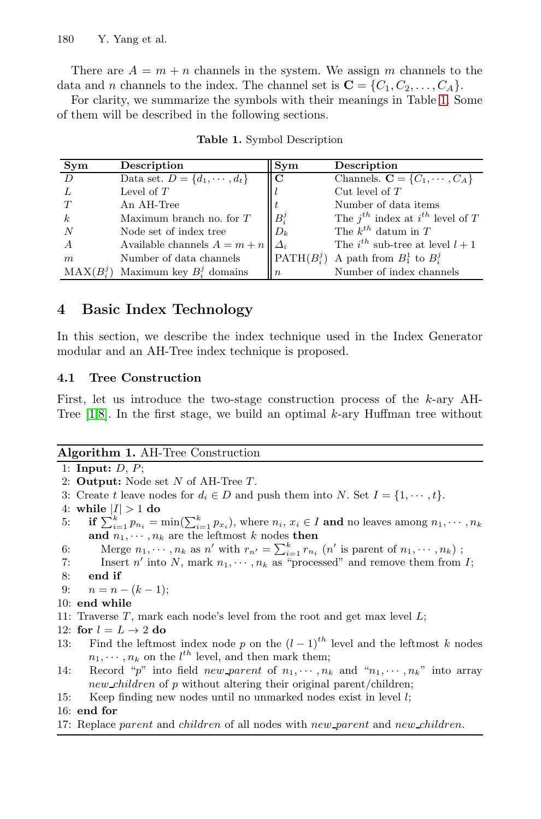<span id="page-4-0"></span>There are  $A = m + n$  channels in the system. We assign m channels to the data and *n* channels to the index. The channel set is  $\mathbf{C} = \{C_1, C_2, \ldots, C_A\}.$ 

For clarity, we summarize the symbols with their meanings in Table 1. Some of them will be described in the following sections.

**Table 1.** Symbol Description

| Sym              | Description                         | Sym              | Description                                   |
|------------------|-------------------------------------|------------------|-----------------------------------------------|
| $\overline{D}$   | Data set. $D = \{d_1, \dots, d_t\}$ |                  | Channels. $\mathbf{C} = \{C_1, \cdots, C_A\}$ |
|                  | Level of $T$                        |                  | Cut level of $T$                              |
|                  | An AH-Tree                          |                  | Number of data items                          |
| $\boldsymbol{k}$ | Maximum branch no. for $T$          | $B^j$            | The $j^{th}$ index at $i^{th}$ level of T     |
| N                | Node set of index tree              | $D_k$            | The $k^{th}$ datum in T                       |
|                  | Available channels $A = m + n$      | $\Delta_i$       | The $i^{th}$ sub-tree at level $l+1$          |
| m                | Number of data channels             | $PATH(B_i^j)$    | A path from $B_1^1$ to $B_i^j$                |
| $MAX(B^j)$       | Maximum key $B_i^j$ domains         | $\boldsymbol{n}$ | Number of index channels                      |
|                  |                                     |                  |                                               |

# <span id="page-4-3"></span>**4 Basic Index Technology**

In this section, we describe the index technique used in the Index Generator modular and an AH-Tree index technique is proposed.

#### <span id="page-4-1"></span>**4.1 Tree Construction**

First, let us introduce the two-stage construction process of the  $k$ -ary AH-Tree  $[1,8]$ . In the first stage, we build an optimal k-ary Huffman tree without

#### **Algorithm 1.** AH-Tree Construction

#### 1: **Input:** D, P;

- 2: **Output:** Node set N of AH-Tree T.
- <span id="page-4-2"></span>3: Create t leave nodes for  $d_i \in D$  and push them into N. Set  $I = \{1, \dots, t\}.$
- 4: while  $|I| > 1$  do
- 5: **if**  $\sum_{i=1}^{k} p_{n_i} = \min(\sum_{i=1}^{k} p_{x_i})$ , where  $n_i, x_i \in I$  **and** no leaves among  $n_1, \dots, n_k$ **and**  $n_1, \dots, n_k$  are the leftmost k nodes **then**
- 
- 6: Merge  $n_1, \dots, n_k$  as n' with  $r_{n'} = \sum_{i=1}^k r_{n_i} (n'$  is parent of  $n_1, \dots, n_k$ );<br>7: Insert n' into N, mark  $n_1, \dots, n_k$  as "processed" and remove them from I;
- 8: **end if**
- 9:  $n = n (k 1);$
- 10: **end while**
- 11: Traverse  $T$ , mark each node's level from the root and get max level  $L$ ;
- 12: **for**  $l = L \rightarrow 2$  **do**
- 13: Find the leftmost index node p on the  $(l-1)^{th}$  level and the leftmost k nodes  $n_1, \dots, n_k$  on the  $l^{th}$  level, and then mark them;
- 14: Record "p" into field new parent of  $n_1, \dots, n_k$  and " $n_1, \dots, n_k$ " into array new children of p without altering their original parent/children;
- 15: Keep finding new nodes until no unmarked nodes exist in level l;

16: **end for**

<sup>17:</sup> Replace parent and children of all nodes with new parent and new children.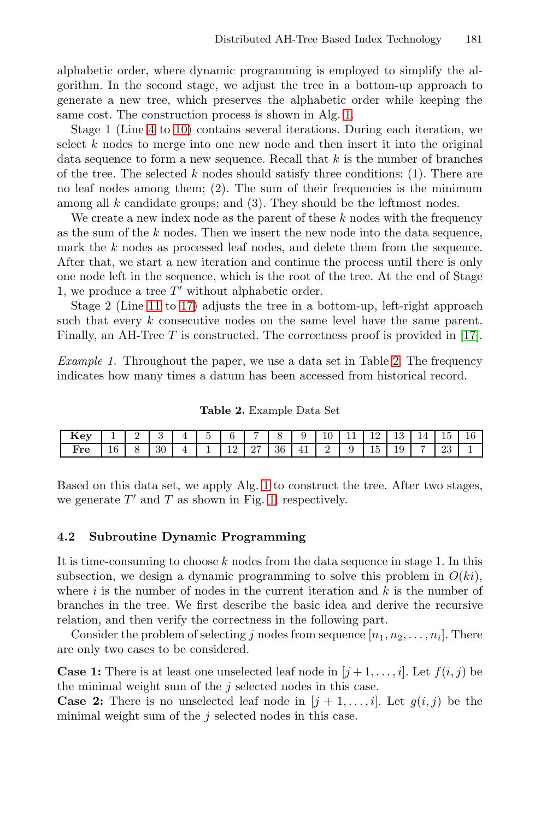alphabetic order, where dynamic programming is employed to simplify the algorithm. In the second stage, we adjust the tree in a bottom-up approach to generate a new tree, which preserves the alphabetic order while keeping the same cost. The construction process is shown in Alg. 1.

Stage 1 (Line 4 to 10) contains several iterations. During each iteration, we select  $k$  nodes to merge into one new node and then insert it into the original data sequence to form a new sequence. Recall that  $k$  is the number of branches of the tree. The selected k nodes should satisfy three conditions:  $(1)$ . There are [no](#page-4-1) l[eaf](#page-4-2) nodes among them; (2). The sum of their frequencies is the minimum among all  $k$  candidate groups; and  $(3)$ . They should be the leftmost nodes.

<span id="page-5-0"></span>We create a new index node as the parent of these  $k$  no[des](#page-16-4) with the frequency as the sum of the  $k$  nodes. Then we insert the new node into the data sequence, mark the k nodes as processed leaf nodes, [and](#page-5-0) delete them from the sequence. After that, we start a new iteration and continue the process until there is only one node left in the sequence, which is the root of the tree. At the end of Stage 1, we produce a tree  $T'$  without alphabetic order.

Stage 2 (Line 11 to 17) adjusts the tree in a bottom-up, left-right approach such that every k consecutive nodes on the same level have the same parent. Finally, an AH-Tree  $T$  is constructed. The correctness proof is provided in [17].

*Example 1.* Throughout the paper, we use a data set in Table 2. The frequency indicates how many [ti](#page-4-3)[m](#page-6-0)es a datum has been accessed from historical record.

**Table 2.** Example Data Set

| 17C |                  |        |    |          | $\tilde{\phantom{a}}$<br>∽ | $\sqrt{2}$      | $\overline{\phantom{0}}$ |    |                        | $\sim$<br>ΙU  |        |           | LЮ<br>ТĐ        | ι4 | . .      | τu |
|-----|------------------|--------|----|----------|----------------------------|-----------------|--------------------------|----|------------------------|---------------|--------|-----------|-----------------|----|----------|----|
|     | $\sqrt{2}$<br>16 | ∽<br>ັ | 30 | <b>.</b> | ᅩ                          | - -<br>--<br>-- | $\sim$ $-$<br><u> 41</u> | 36 | $\Lambda$ 1<br>ᅚ<br>-- | $\Omega$<br>_ | Q<br>◡ | $-$<br>Тp | ١O<br><b>10</b> | -  | ററ<br>4U |    |

Based on this data set, we apply Alg. 1 to construct the tree. After two stages, we generate  $T'$  and  $T$  as shown in Fig. 1, respectively.

#### **4.2 Subroutine Dynamic Programming**

It is time-consuming to choose  $k$  nodes from the data sequence in stage 1. In this subsection, we design a dynamic programming to solve this problem in  $O(ki)$ , where  $i$  is the number of nodes in the current iteration and  $k$  is the number of branches in the tree. We first describe the basic idea and derive the recursive relation, and then verify the correctness in the following part.

Consider the problem of selecting j nodes from sequence  $[n_1, n_2, \ldots, n_i]$ . There are only two cases to be considered.

**Case 1:** There is at least one unselected leaf node in  $[j+1,\ldots,i]$ . Let  $f(i, j)$  be the minimal weight sum of the  $j$  selected nodes in this case.

**Case 2:** There is no unselected leaf node in  $[j + 1, \ldots, i]$ . Let  $g(i, j)$  be the minimal weight sum of the  $j$  selected nodes in this case.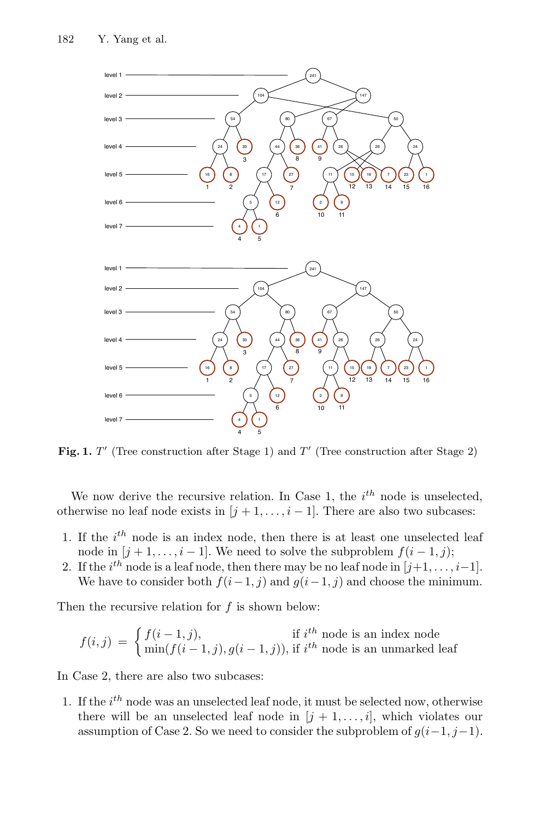

<span id="page-6-0"></span>Fig. 1.  $T'$  (Tree construction after Stage 1) and  $T'$  (Tree construction after Stage 2)

We now derive the recursive relation. In Case 1, the  $i^{th}$  node is unselected, otherwise no leaf node exists in  $[j + 1, \ldots, i - 1]$ . There are also two subcases:

- 1. If the  $i^{th}$  node is an index node, then there is at least one unselected leaf node in  $[j + 1, \ldots, i - 1]$ . We need to solve the subproblem  $f(i - 1, j)$ ;
- 2. If the  $i^{th}$  node is a leaf node, then there may be no leaf node in  $[j+1,\ldots,i-1]$ . We have to consider both  $f(i-1, j)$  and  $g(i-1, j)$  and choose the minimum.

Then the recursive relation for  $f$  is shown below:

$$
f(i,j) = \begin{cases} f(i-1,j), & \text{if } i^{th} \text{ node is an index node} \\ \min(f(i-1,j), g(i-1,j)), & \text{if } i^{th} \text{ node is an unmarked leaf} \end{cases}
$$

In Case 2, there are also two subcases:

1. If the  $i<sup>th</sup>$  node was an unselected leaf node, it must be selected now, otherwise there will be an unselected leaf node in  $[i + 1, \ldots, i]$ , which violates our assumption of Case 2. So we need to consider the subproblem of  $g(i-1, j-1)$ .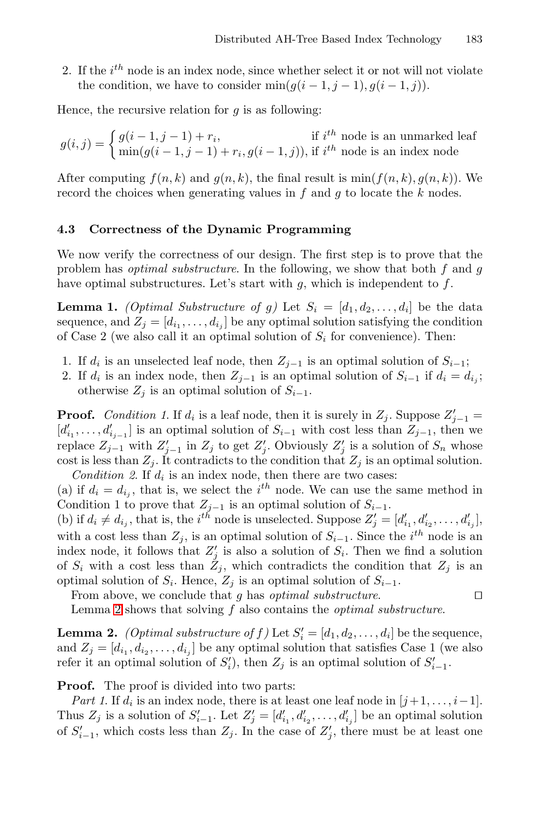<span id="page-7-1"></span>2. If the  $i^{th}$  node is an index node, since whether select it or not will not violate the condition, we have to consider  $\min(g(i-1, j-1), g(i-1, j)).$ 

Hence, the recursive relation for  $q$  is as following:

$$
g(i,j) = \begin{cases} g(i-1,j-1) + r_i, & \text{if } i^{th} \text{ node is an unmarked leaf} \\ \min(g(i-1,j-1) + r_i, g(i-1,j)), \text{if } i^{th} \text{ node is an index node} \end{cases}
$$

After computing  $f(n, k)$  and  $g(n, k)$ , the final result is min $(f(n, k), g(n, k))$ . We record the choices when generating values in  $f$  and  $g$  to locate the  $k$  nodes.

## **4.3 Correctness of the Dynamic Programming**

We now verify the correctness of our design. The first step is to prove that the problem has *optimal substructure*. In the following, we show that both f and g have optimal substructures. Let's start with  $g$ , which is independent to  $f$ .

**Lemma 1.** *(Optimal Substructure of g)* Let  $S_i = [d_1, d_2, \ldots, d_i]$  be the data sequence, and  $Z_j = [d_{i_1}, \ldots, d_{i_j}]$  be any optimal solution satisfying the condition of Case 2 (we also call it an optimal solution of  $S_i$  for convenience). Then:

- 1. If  $d_i$  is an unselected leaf node, then  $Z_{j-1}$  is an optimal solution of  $S_{i-1}$ ;
- 2. If  $d_i$  is an index node, then  $Z_{j-1}$  is an optimal solution of  $S_{i-1}$  if  $d_i = d_{i,j}$ ; otherwise  $Z_j$  is an optimal solution of  $S_{i-1}$ .

**Proof.** *Condition 1*. If  $d_i$  is a leaf node, then it is surely in  $Z_j$ . Suppose  $Z'_{j-1} = [d' - d' - 1]$  is an optimal solution of  $S_{i-1}$  with cost loss than  $Z_{i-1}$  then we  $[d'_{i_1}, \ldots, d'_{i_{j-1}}]$  is an optimal solution of  $S_{i-1}$  with cost less than  $Z_{j-1}$ , then we<br>replace  $Z$  with  $Z'$  in  $Z$  to get  $Z'$ . Obviously  $Z'$  is a solution of  $S$ , where replace  $Z_{j-1}$  with  $Z'_{j-1}$  in  $Z_j$  to get  $Z'_j$ . Obviously  $Z'_j$  is a solution of  $S_n$  whose cost is less than  $Z_j$ . It contradicts to the condition that  $Z_j$  is an optimal solution. *Condition 2.* If  $d_i$  is an index node, then there are two cases:

(a) if  $d_i = d_{i_j}$ , that is, we select the *i*<sup>th</sup> node. We can use the same method in Condition 1 to prove that Z is an aptimal solution of C Condition 1 to prove that  $Z_{j-1}$  is an optimal solution of  $S_{i-1}$ .<br>(b) if  $d_i$ ,  $i$  that is the *i*<sup>th</sup> node is unselected. Suppose  $Z'$ .

(b) if  $d_i \neq d_{i_j}$ , that is, the *i*<sup>th</sup> node is unselected. Suppose  $Z'_j = [d'_{i_1}, d'_{i_2}, \ldots, d'_{i_j}],$ with a cost less than  $Z_j$ , is an optimal solution of  $S_{i-1}$ . Since the  $i^{th}$  node is an index node, it follows that  $Z'$  is also a solution of  $S$ . Then we find a solution index node, it follows that  $Z'_j$  is also a solution of  $S_i$ . Then we find a solution<br>of S<sub>i</sub>, with a cost less than  $Z_i$ , which contradicts the condition that  $Z_i$  is an of  $S_i$  with a cost less than  $\tilde{Z}_j$ , which contradicts the condition that  $Z_j$  is an optimal solution of  $S_i$ . Hence,  $Z_j$  is an optimal solution of  $S_{i-1}$ .

From above, we conclude that q has *optimal substructure*.

<span id="page-7-0"></span>

Lemma 2 shows that solving f also contains the *optimal substructure*.

**Lemma 2.** *(Optimal substructure of f)* Let  $S_i' = [d_1, d_2, \ldots, d_i]$  be the sequence, and  $Z_i = [d_{i_1}, d_{i_2}, \ldots, d_{i_i}]$  be any optimal solution that satisfies Case 1 (we also refer it an optimal solution of  $S'_{i}$ ), then  $Z_{j}$  is an optimal solution of  $S'_{i-1}$ .

**Proof.** The proof is divided into two parts:

*Part 1*. If  $d_i$  is an index node, there is at least one leaf node in  $[j+1,\ldots,i-1]$ . Thus  $Z_j$  is a solution of  $S'_{i-1}$ . Let  $Z'_j = [d'_{i_1}, d'_{i_2}, \ldots, d'_{i_j}]$  be an optimal solution of  $S'_{i-1}$ , which costs less than  $Z_j$ . In the case of  $Z'_j$ , there must be at least one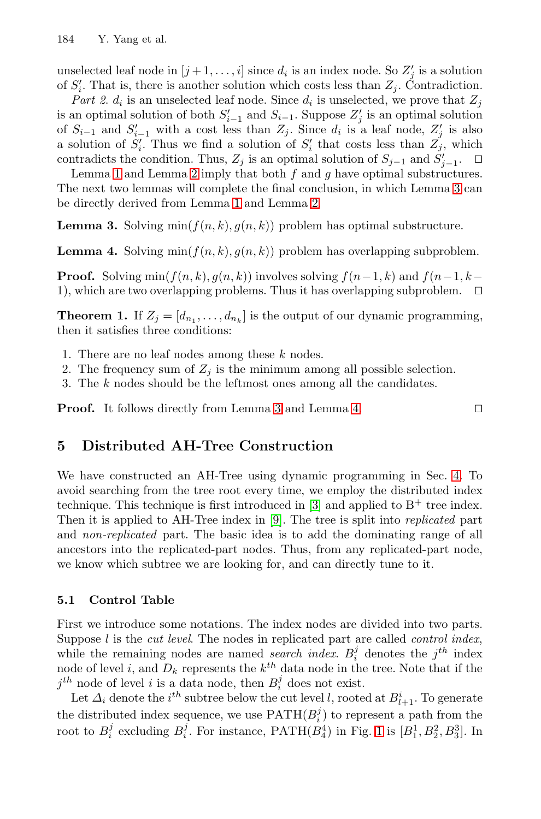<span id="page-8-1"></span><span id="page-8-0"></span>unsele[cte](#page-7-0)d leaf [no](#page-8-0)de in  $[j+1,\ldots,i]$  since  $d_i$  is an index node. So  $Z'_j$  is a solution<br>of  $S'$ . That is there is another solution which costs less than  $Z$ . Contradiction of  $S_i'$ . That is, [th](#page-7-1)e[r](#page-7-0)e is another solution which costs less than  $Z_j$ . Contradiction.<br>Part 2 d. is an unselected less node. Since d. is unselected we prove that Z.

Part 2.  $d_i$  is an unselected leaf node. Since  $d_i$  is unselected, we prove that  $Z_j$ is an optimal solution of both  $S'_{i-1}$  and  $S_{i-1}$ . Suppose  $Z'_{j}$  is an optimal solution of  $S_{i-1}$  and  $S'_{j}$  with a cost loss than  $Z_{i}$ . Since de is a lost node  $Z'$  is also of  $S_{i-1}$  and  $S'_{i-1}$  with a cost less than  $Z_j$ . Since  $d_i$  is a leaf node,  $Z'_j$  is also<br>a solution of  $S'$ . Thus we find a solution of  $S'$  that costs less than  $Z_i$ , which a solution of  $S_i'$ . Thus we find a solution of  $S_i'$  that costs less than  $Z_j$ , which<br>contradicts the condition. Thus  $Z_j$  is an optimal solution of  $S_j$ , and  $S_j'$ contradicts the condition. Thus,  $Z_j$  is an optimal solution of  $S_{j-1}$  and  $S'_{j-1}$ .  $\square$ <br>Jomma 1 and Jomma 3 imply that both f and g have optimal substructures

Lemma 1 and Lemma 2 imply that both  $f$  and  $g$  have optimal substructures. The next two lemmas will complete the final conclusion, in which Lemma 3 can be directly derived from Lemma 1 and Lemma 2.

**Lemma 3.** Solving  $\min(f(n, k), g(n, k))$  problem has optimal substructure.

**Lemma 4.** Solving  $\min(f(n, k), g(n, k))$  problem has overlapping subproblem.

**Proof.** Solving min $(f(n, k), q(n, k))$  involves solving  $f(n-1, k)$  and  $f(n-1, k-1)$ 1), which are two overl[ap](#page-8-0)ping proble[ms.](#page-8-1) Thus it has overlapping subproblem.  $\Box$ 

**Theorem 1.** If  $Z_j = [d_{n_1}, \ldots, d_{n_k}]$  is the output of our dynamic programming, then it satisfies three conditions:

- 1. There are no leaf nodes among these k nodes.
- 2. The frequency sum of  $Z_i$  is the minimum among a[l](#page-4-0)l [p](#page-4-0)ossible selection.
- 3. The k nodes should be t[he](#page-15-2) leftmost ones among all the candidates.

**Proof.** It follows dir[ect](#page-15-8)ly from Lemma 3 and Lemma 4.

# **5 Distributed AH-Tree Construction**

We have constructed an AH-Tree using dynamic programming in Sec. 4. To avoid searching from the tree root every time, we employ the distributed index technique. This technique is first introduced in  $[3]$  and applied to  $B^+$  tree index. Then it is applied to AH-Tree index in [9]. The tree is split into *replicated* part and *non-replicated* part. The basic idea is to add the dominating range of all ancestors into the replicated-part nodes. Thus, from any replicated-part node, we know which subtree we are looking for, and can directly tune to it.

#### **5.1 Control Table**

First we introduce some notations. The i[nd](#page-6-0)ex nodes are divided into two parts. Suppose l is the *cut level*. The nodes in replicated part are called *control index*, while the remaining nodes are named *search index*.  $B_i^j$  denotes the  $j^{th}$  index<br>node of level i, and  $D_i$  represents the  $k^{th}$  data node in the tree. Note that if the node of level i, and  $D_k$  represents the  $k^{th}$  data node in the tree. Note that if the  $j^{th}$  node of level i is a data node, then  $B_i^j$  does not exist.<br>Let  $A_i$  donote the i<sup>th</sup> subtree below the cut level l roote

Let  $\Delta_i$  denote the  $i^{th}$  subtree below the cut level l, rooted at  $B_{l+1}^i$ . To generate the distributed index sequence, we use  $\text{PATH}(B_i^j)$  to represent a path from the next to  $B_i^j$  excluding  $B_i^j$ . For instance  $\text{PATH}(B_i^4)$  in Fig. 1 is  $[D^1, D^2, D^3]$ . In root to  $B_i^j$  excluding  $B_i^j$ . For instance, PATH $(B_4^4)$  in Fig. 1 is  $[B_1^1, B_2^2, B_3^3]$ . In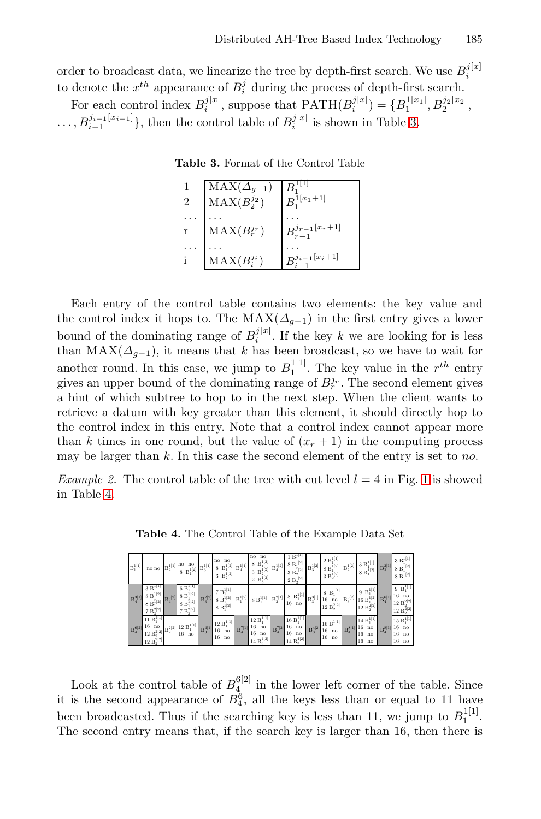order to broadcast data, we linearize the tree by depth-first search. We use  $B_i^{j[x]}$ 

to denote the  $x^{th}$  appearance of  $B_i^j$  during the process of depth-first search.<br>For each control index  $B_i^{j[x]}$ , suppose that  $\text{PATH}(B_i^{j[x]}) = \{B_1^{1[x_1]}, B_2^{j_2[x_2]},$  $\dots, B_{i-1}^{j_{i-1}[x_{i-1}]}$ }, then the control table of  $B_i^{j[x]}$  is shown in Table 3.

**Table 3.** Format of the Control Table

|   | $\text{MAX}(\Delta_{g-1})$<br>$\text{MAX}(B_2^{j_2})$ | $B_1^{\overset{\centerdot}{1}[x_1+1]}$      |
|---|-------------------------------------------------------|---------------------------------------------|
| r | $MAX(B_r^{j_r})$                                      | $B^{j_{r-1}[x_r+1]}_{r-1}$                  |
| i | $MAX(B_i^{j_i})$                                      | $B_{\scriptscriptstyle i}^{j_{i-1}[x_i+1]}$ |

Each entry of the control table contains two elements: the key value and the control index it hops to. The MAX $(\Delta_{q-1})$  in the first entry gives a lower bound of the dominating range of  $B_i^{j[x]}$ . If the key k we are looking for is less<br>than  $MAX(A_{i-1})$  it means that k has been broadcast, so we have to wait for than  $\text{MAX}(\Delta_{g-1})$ , it means that k has been broadcast, so we have to wait for anot[he](#page-6-0)r round. In this case, we jump to  $B_1^{1[1]}$ . The key value in the  $r^{th}$  entry gives an upper bound of the dominating range of  $B_r^j$ . The second element gives a hint of which subtree to bon to in the port stop. When the client wants to a hint of which subtree to hop to in the next step. When the client wants to retrieve a datum with key greater than this element, it should directly hop to the control index in this entry. Note that a control index cannot appear more than k times in one round, but the value of  $(x_r + 1)$  in the computing process may be larger than  $k$ . In this case the second element of the entry is set to no.

*Example 2.* The control table of the tree with cut level  $l = 4$  in Fig. 1 is showed in Table 4.

| $B_1^{1[1]}$ | no no                                                                                                                                          |              | $\mathbf{B}_2^{1[1]}$ no no<br>$\mathbf{I}$ 8 $\;\mathbf{B}_1^{1[2]}$ $\mathbf{B}_3^{1[1]}$ $\;$ 8 |                 | no<br>no<br>$8B_1^{1[2]}$<br>$3B_2^{1[2]}$                    | $B_4^{1[1]}$ | no.<br>no<br>$8\;\;{\rm B}_1^{1[2]}$<br>$\left \begin{array}{c}{\bf B}_1^{1[2]}\\ {\bf 3}\end{array}\right {\bf B}_4^{1[2]}\left \begin{array}{c}{\bf B}_4^{1[2]}\\ {\bf 2}\end{array}\right .$ |              | $1 B_1^{1[1]}$<br>$8B_1^{\{2\}}$<br>$\frac{3}{2}\frac{B_2^{\frac{1}{1}[2]}}{B_3^{\frac{2}{1}[2]}}$ | $\mathbf{B}_3^{1[2]}$ | $2B_1^{1[1]}$<br>$8B_1^{1[2]}$<br>$3B_2^{1[2]}$               | $\mathbf{B}_2^{1[2]}$                                           | $3B_1^{1[1]}$<br>$8B_1^{1[2]}$                       | $B_3^{2[1]}$                           | $_3$ $\rm B_1^{1[1]}$<br>$8B_1^{1[2]}$<br>$8B_1^{1[2]}$                                                |
|--------------|------------------------------------------------------------------------------------------------------------------------------------------------|--------------|----------------------------------------------------------------------------------------------------|-----------------|---------------------------------------------------------------|--------------|-------------------------------------------------------------------------------------------------------------------------------------------------------------------------------------------------|--------------|----------------------------------------------------------------------------------------------------|-----------------------|---------------------------------------------------------------|-----------------------------------------------------------------|------------------------------------------------------|----------------------------------------|--------------------------------------------------------------------------------------------------------|
| $B_4^{3[1]}$ | $3B_1^{1 1}$<br>$8B_1^{1[2]}$<br>$8B_1^{1[2]}$<br>$7B_2^{2[2]}$                                                                                | $B_4^{3[2]}$ | $6B_1^{1[1]}$<br>$8B_1^{1[2]}$<br>$8\;\mathbf{B}_{1}^{\hat{1}[2]}$<br>$7B_2^{\frac{5}{2}[2]}$      | $B_3^{2[2]}$    | $7B_{1}^{1[1]}$<br>$8B_1^{\{2\}}$<br>$8B_1^{1[2]}$            | $B_1^{1[2]}$ | $8B_1^{1[1]}$                                                                                                                                                                                   | $B_2^{2[1]}$ | $8\;\;{\rm B}_1^{1[1]}$<br>16<br>no                                                                | $B_3^{3[1]}$          | $8\;\;{\rm B}_1^{1[1]}$<br>16<br>$\rm{no}$<br>$12 B_2^{2[2]}$ | $\mathbf{B}_3^{3[2]}$                                           | $9B_1^{1[1]}$<br>$16 B_1^{\{2\}}$<br>$12 B_2^{2[2]}$ | $\cdot$ $\mid$ B^6[1] $\mid$ 16 $\mid$ | $9B_1^{1[1]}$<br>no<br>$\begin{array}{c} 12 \ \text{B}_2^{2[2]} \\ 12 \ \text{B}_2^{2[2]} \end{array}$ |
| $B_4^{6[2]}$ | 11 $B_1^{1[1]}$<br>$^{16}$<br>no<br>$\llbracket 12 \ \mathbf{B}_2^{2[2]} \ \mathbf{B}_2^{2[2]} \ \mathbf{L} \, .$<br>$12 B_2^2$ <sup>[2]</sup> |              | $12 B_1^{1[1]}$<br>16<br>no                                                                        | $B_3^{4[1]}$ 16 | $_4$ 12 $\mathrm{B}_1^{1[1]}$ $^\mathrm{F}$<br>no<br>16<br>no |              | $12 B_1^{1[1]}$<br>$\mathbf{B}_4^{7[1]}$ 16 $\,$ no $\,$<br>$^{16}$<br>$\mathbf{n}$ o<br>$14 B_2^{4[2]}$                                                                                        | $B_4^{7[2]}$ | $16B_1^{1[1]}$<br>$16$ no<br>16<br>no<br>$14 B_2^{4[2]}$                                           | $B_3^{4[2]}$ 16       | $16~\text{B}_1^{1[1]}\text{F}$<br>no<br>16<br>no              | $\mathbf{B}_4^{\text{S[1]}}$ 16 $\,$ $\scriptstyle{\mathrm{b}}$ | $14 B_1^{1[1]}$<br>no<br>$16$ no<br>16<br>no         | $B_4^{8[1]}$ 16                        | $15 B_1^{1[1]}$<br>no<br>16<br>no<br>16<br>$\mathbf{n}$                                                |

**Table 4.** The Control Table of the Example Data Set

Look at the control table of  $B_4^{6[2]}$  in the lower left corner of the table. Since it is the second appearance of  $B_4^6$ , all the keys less than or equal to 11 have been broadcasted. Thus if the searching key is less than 11, we jump to  $B_1^{1[1]}$ . The second entry means that, if the search key is larger than 16, then there is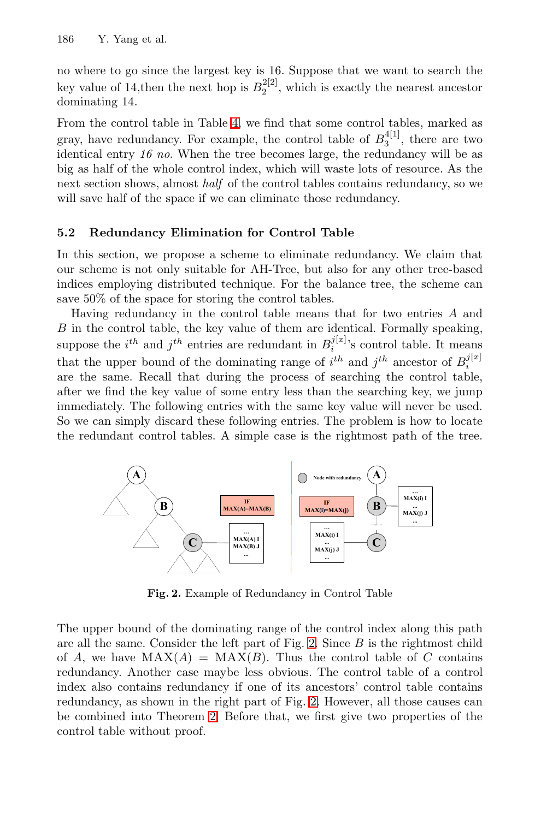no where to go since the largest key is 16. Suppose that we want to search the key value of 14, then the next hop is  $B_2^{2[2]}$ , which is exactly the nearest ancestor dominating 14.

From the control table in Table 4, we find that some control tables, marked as gray, have redundancy. For example, the control table of  $B_3^{4[1]}$ , there are two identical entry *16 no*. When the tree becomes large, the redundancy will be as big as half of the whole control index, which will waste lots of resource. As the next section shows, almost *half* of the control tables contains redundancy, so we will save half of the space if we can eliminate those redundancy.

#### **5.2 Redundancy Elimination for Control Table**

In this section, we propose a scheme to eliminate redundancy. We claim that our scheme is not only suitable for AH-Tree, but also for any other tree-based indices employing distributed technique. For the balance tree, the scheme can save 50% of the space for storing the control tables.

Having redundancy in the control table means that for two entries A and B in the control table, the key value of them are identical. Formally speaking, suppose the  $i^{th}$  and  $j^{th}$  entries are redundant in  $B_i^{j[x]}$ 's control table. It means that the upper bound of the dominating range of  $i^{th}$  and  $j^{th}$  ancestor of  $B_i^{j[x]}$ are the same. Recall that during the process of searching the control table, after we find the key value of some entry less than the searching key, we jump immediately. The following entries with the same key value will never be used. So we can simply discard these following entries. The problem is how to locate the redundant control tables. A simple case is the rightmost path of the tree.

<span id="page-10-0"></span>

**Fig. 2.** Exa[mpl](#page-10-0)e of Redundancy in Control Table

The upper bound of the dominating range of the control index along this path are all the same. Consider the left part of Fig. 2. Since  $B$  is the rightmost child of A, we have  $MAX(A) = MAX(B)$ . Thus the control table of C contains redundancy. Another case maybe less obvious. The control table of a control index also contains redundancy if one of its ancestors' control table contains redundancy, as shown in the right part of Fig. 2. However, all those causes can be combined into Theorem 2. Before that, we first give two properties of the control table without proof.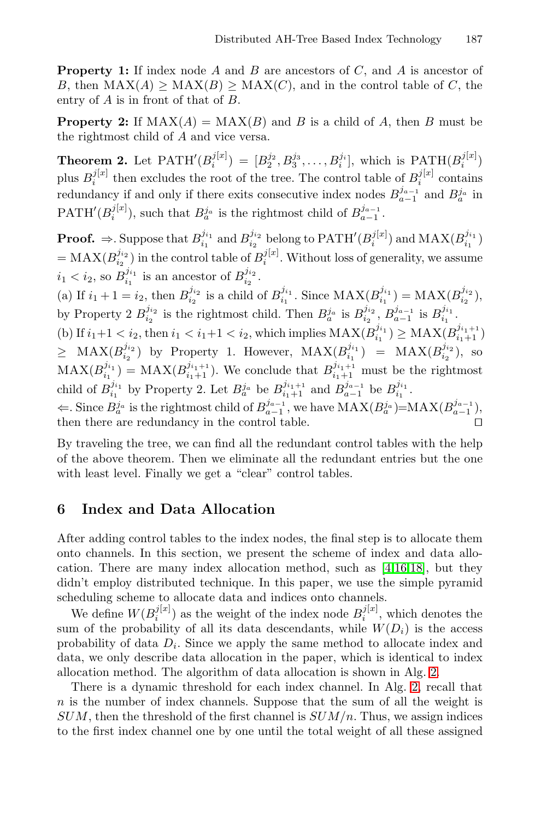**Property 1:** If index node A and B are ancestors of C, and A is ancestor of B, then  $MAX(A) \ge MAX(B) \ge MAX(C)$ , and in the control table of C, the entry of A is in front of that of B.

**Property 2:** If  $MAX(A) = MAX(B)$  and B is a child of A, then B must be the rightmost child of A and vice versa.

**Theorem 2.** Let  $\text{PATH}'(B_i^{j[x]}) = [B_2^{j_2}, B_3^{j_3}, \dots, B_i^{j_i}],$  which is  $\text{PATH}(B_i^{j[x]})$ plus  $B_i^{j[x]}$  then excludes the root of the tree. The control table of  $B_i^{j[x]}$  contains redundancy if and only if there exits consecutive index nodes  $B_{a-1}^{j_{a-1}}$  and  $B_a^{j_a}$  in PATH<sup>'</sup> $(B_i^{j[x]})$ , such that  $B_a^{j_a}$  is the rightmost child of  $B_{a-1}^{j_{a-1}}$ .

**Proof.**  $\Rightarrow$  Suppose that  $B_{i_1}^{j_{i_1}}$  and  $B_{i_2}^{j_{i_2}}$  belong to PATH' $(B_i^{j[x]})$  and  $\text{MAX}(B_{i_1}^{j_{i_1}})$  $=$  MAX $(B_{i_2}^{j_{i_2}})$  in the control table of  $B_i^{j[x]}$ . Without loss of generality, we assume  $i_1 < i_2$ , so  $B_{i_1}^{j_{i_1}}$  is an ancestor of  $B_{i_2}^{j_{i_2}}$ .

<span id="page-11-0"></span>(a) If  $i_1 + 1 = i_2$ , then  $B_{i_2}^{j_{i_2}}$  is a child of  $B_{i_1}^{j_{i_1}}$ . Since  $MAX(B_{i_1}^{j_{i_1}}) = MAX(B_{i_2}^{j_{i_2}})$ , by Property 2  $B_{i_2}^{j_{i_2}}$  is the rightmost child. Then  $B_a^{j_a}$  is  $B_{i_1}^{j_{i_2}}$ ,  $B_{a-1}^{j_{a-1}}$  is  $B_{i_1}^{j_{i_1}}$ .

(b) If  $i_1+1 < i_2$ , then  $i_1 < i_1+1 < i_2$ , which implies  $\text{MAX}(B_{i_1}^{j_{i_1}}) \geq \text{MAX}(B_{i_1+1}^{j_{i_1+1}})$  $\geq$  MAX $(B_{i_2}^{j_{i_2}})$  by Property 1. However,  $\text{MAX}(B_{i_1}^{j_{i_1}}) = \text{MAX}(B_{i_2}^{j_{i_2}})$ , so  $MAX(B_{i_1}^{j_{i_1}}) = MAX(B_{i_1+1}^{j_{i_1+1}})$ . We conclude that  $B_{i_1+1}^{j_{i_1+1}}$  must be the rightmost<br>child of  $B_{i_1}^{j_{i_1}}$  by Property 2. Let  $B_a^{j_a}$  be  $B_{i_1+1}^{j_{i_1+1}}$  and  $B_{a-1}^{j_{a-1}}$  be  $B_{i_1}^{j_{i_1}}$ .

 $\Leftarrow$ . Since  $B_a^{j_a}$  is the rightmost child of  $B_{a-1}^{j_a-1}$ , we have  $MAX(B_a^{j_a})=MAX(B_{a-1}^{j_a-1})$ ,<br>then there are redundancy in the control table then there are redundancy in the control table.

By traveling the tree, we can find all the redundant control tables with the help of the above theorem. Then we eliminate [all](#page-15-3) [th](#page-16-5)[e](#page-16-6) [re](#page-16-6)dundant entries but the one with least level. Finally we get a "clear" control tables.

#### **6 Index and Data Allocation**

After adding control tables to the index nodes, the final step is to allocate them onto channels. In this section, we present the sch[em](#page-12-1)e of index and data allocation. There are many index allocation meth[od](#page-12-1), such as [4,16,18], but they didn't employ distributed technique. In this paper, we use the simple pyramid scheduling scheme to allocate data and indices onto channels.

We define  $W(B_i^{j[x]})$  as the weight of the index node  $B_i^{j[x]}$ , which denotes the node of the probability of all its data descendants, while  $W(D_i)$  is the access sum of the probability of all its data descendants, while  $W(D_i)$  is the access probability of data  $D_i$ . Since we apply the same method to allocate index and data, we only describe data allocation in the paper, which is identical to index allocation method. The algorithm of data allocation is shown in Alg. 2.

There is a dynamic threshold for each index channel. In Alg. 2, recall that  $n$  is the number of index channels. Suppose that the sum of all the weight is  $SUM$ , then the threshold of the first channel is  $SUM/n$ . Thus, we assign indices to the first index channel one by one until the total weight of all these assigned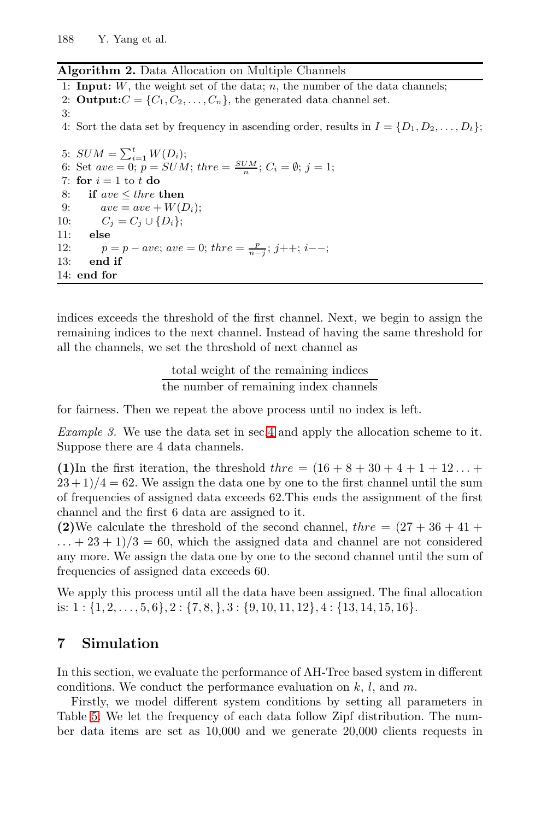<span id="page-12-1"></span>**Algorithm 2.** Data Allocation on Multiple Channels

1: **Input:**  $W$ , the weight set of the data;  $n$ , the number of the data channels; 2: **Output:** $C = \{C_1, C_2, \ldots, C_n\}$ , the generated data channel set. 3: 4: Sort the data set by frequency in ascending order, results in  $I = \{D_1, D_2, \ldots, D_t\}$ ; 5:  $SUM = \sum_{i=1}^{t} W(D_i);$ <br>6:  $Set\; size = 0; n = SILM$ 6: Set  $ave = 0$ ;  $p = SUM$ ;  $three = \frac{SUM}{n}$ ;  $Ci = \emptyset$ ;  $j = 1$ ;<br>7:  $for i = 1$  to t do 7: **for**  $i = 1$  to t **do** 8: **if** ave ≤ thre **then** 9:  $\begin{array}{ll} ave = ave + W(D_i); \\ 10: & C_i = C_i \cup \{D_i\}; \end{array}$ 10:  $C_j = C_j \cup \{D_i\};$ <br>11: **else** 11: **else** 12:  $p = p - ave; ave = 0; thre = \frac{p}{n-j}; j++); i--)$ ;<br>13. and if 13: **end if** 14: **end for**

indices exceeds the t[hr](#page-4-0)eshold of the first channel. Next, we begin to assign the remaining indices to the next channel. Instead of having the same threshold for all the channels, we set the threshold of next channel as

> total weight of the remaining indices the number of remaining index channels

<span id="page-12-0"></span>for fairness. Then we repeat the above process until no index is left.

*Example 3.* We use the data set in sec.4 and apply the allocation scheme to it. Suppose there are 4 data channels.

**(1)**In the first iteration, the threshold  $thre = (16 + 8 + 30 + 4 + 1 + 12... + 12)$  $23 + 1/4 = 62$ . We assign the data one by one to the first channel until the sum of frequencies of assigned data exceeds 62.This ends the assignment of the first channel and the first 6 data are assigned to it.

**(2)**We calculate the threshold of the second channel,  $thre = (27 + 36 + 41 +$  $\dots$  + 23 + 1)/3 = 60, which the assigned data and channel are not considered any more. We assign the data one by one to the second channel until the sum of frequencies of assigned data exceeds 60.

We apply this process until all the data have been assigned. The final allocation is:  $1:\{1, 2, \ldots, 5, 6\}, 2:\{7, 8, \}, 3:\{9, 10, 11, 12\}, 4:\{13, 14, 15, 16\}.$ 

## **7 Simulation**

In this section, we evaluate the performance of AH-Tree based system in different conditions. We conduct the performance evaluation on  $k, l$ , and  $m$ .

Firstly, we model different system conditions by setting all parameters in Table 5. We let the frequency of each data follow Zipf distribution. The number data items are set as 10,000 and we generate 20,000 clients requests in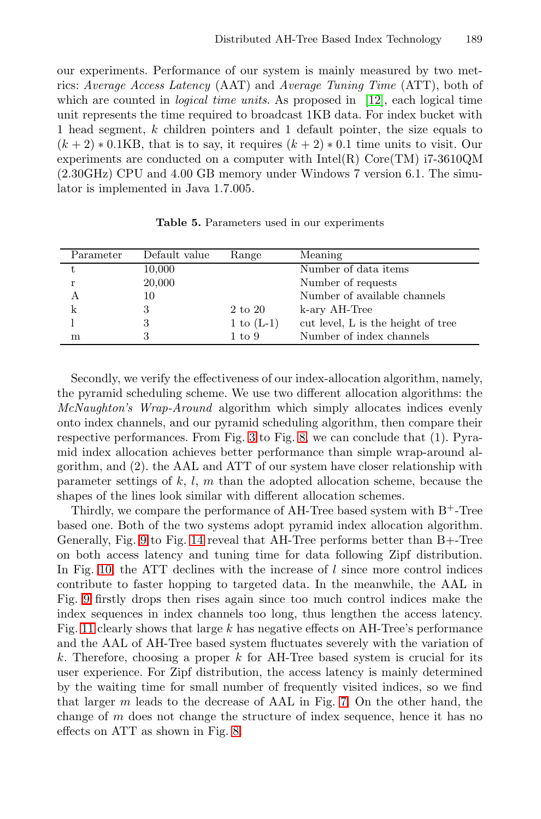our experiments. Performance of our system is mainly measured by two metrics: *Average Access Latency* (AAT) and *Average Tuning Time* (ATT), both of which are counted in *logical time units*. As proposed in [12], each logical time unit represents the time required to broadcast 1KB data. For index bucket with 1 head segment, k children pointers and 1 default pointer, the size equals to  $(k+2)*0.1KB$ , that is to say, it requires  $(k+2)*0.1$  time units to visit. Our experiments are conducted on a computer with  $\text{Intel(R)}$  Core $(\text{TM})$  i7-3610QM (2.30GHz) CPU and 4.00 GB memory under Windows 7 version 6.1. The simulator is implemented in Java 1.7.005.

**Table 5.** Parameters used in our experiments

| Parameter | Default value | Range             | Meaning                            |
|-----------|---------------|-------------------|------------------------------------|
|           | 10,000        |                   | Number of data items               |
|           | 20,000        |                   | Number of requests                 |
|           | 10            |                   | Number of available channels       |
|           |               | 2 to 20           | k-ary AH-Tree                      |
|           |               | 1 to $(L-1)$      | cut level, L is the height of tree |
| m         |               | $1 \text{ to } 9$ | Number of index channels           |

Secondly, we verify the effectiveness of our index-allocation algorithm, namely, the pyramid scheduling scheme. We use two different allocation algorithms: the *McNaughton's Wrap-Around* algorithm which simply allocates indices evenly onto i[ndex](#page-14-2) channels, and our pyramid scheduling algorithm, then compare their respective performances. From Fig. 3 to Fig. 8, we can conclude that (1). Pyramid index allocation achieves better performance than simple wrap-around algorithm, and (2). the AAL and ATT of our system have closer relationship with parameter settings of  $k, l, m$  than the adopted allocation scheme, because the shapes of the lines look similar with different allocation schemes.

Thirdly, we compare the performance of AH-Tree based system with  $B^+$ -Tree based one. Both of the two systems adopt pyramid index allocation algorithm. Generally, Fig. 9 to Fig. 14 reveal that AH-Tree performs better than B+-Tree on both access latency and tuning time for data following Zipf distribution. In Fig. 10, the ATT declines with the increase of  $l$  since more control indices contribute to faster hopping to ta[rg](#page-14-3)eted data. In the meanwhile, the AAL in Fig. 9 firstly drops then rises again since too much control indices make the index sequenc[es](#page-14-1) in index channels too long, thus lengthen the access latency. Fig. 11 clearly shows that large  $k$  has negative effects on AH-Tree's performance and the AAL of AH-Tree based system fluctuates severely with the variation of k. Therefore, choosing a proper  $k$  for AH-Tree based system is crucial for its user experience. For Zipf distribution, the access latency is mainly determined by the waiting time for small number of frequently visited indices, so we find that larger  $m$  leads to the decrease of AAL in Fig. 7. On the other hand, the change of m does not change the structure of index sequence, hence it has no effects on ATT as shown in Fig. 8.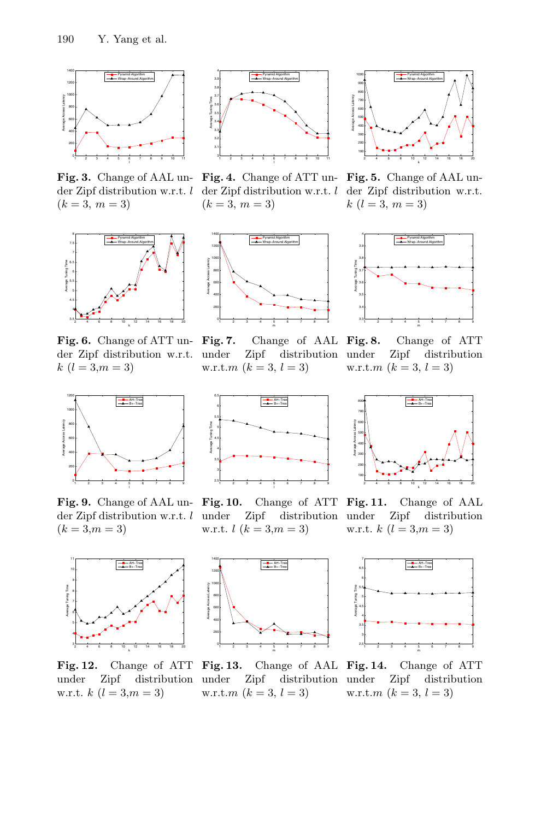

 $(k = 3, m = 3)$ 



Fig. 6. Change of ATT un- Fig. 7.  $k$   $(l = 3,m = 3)$ 



 $(k = 3,m = 3)$ 



under Zipf distribution w.r.t.  $k$   $(l = 3, m = 3)$ 



**Fig. 3.** Change of AAL un-**Fig. 4.** Change of ATT un-**Fig. 5.** Change of AAL under Zipf distribution w.r.t.  $l$  der Zipf distribution w.r.t.  $l$  der Zipf distribution w.r.t.  $(k = 3, m = 3)$ 



der Zipf distribution w.r.t. under Zipf distribution Change of AAL Fig. 8. w.r.t.m  $(k = 3, l = 3)$ 

<span id="page-14-0"></span>

 $k$   $(l = 3, m = 3)$ 

<span id="page-14-3"></span><span id="page-14-1"></span>

**Fig. 8.** Change of ATT Zipf distribution w.r.t.m  $(k = 3, l = 3)$ 



**Fig. 9.** Change of AAL un-**Fig. 10.** Change of ATT **Fig. 11.** Change of AAL der Zipf distribution w.r.t. l under Zipf distribution under Zipf distribution w.r.t.  $l (k = 3, m = 3)$ 



w.r.t.  $k$   $(l = 3, m = 3)$ 



**Fig. 12.** Change of ATT **Fig. 13.** Change of AAL **Fig. 14.** Change of ATT Zipf distribution under w.r.t.m  $(k = 3, l = 3)$ 

<span id="page-14-2"></span>AH−Tree B+−Tree 6.5 6 Average Tuning Time 5.5 울 5 4.5 4 3.5 3  $2.5$   $2.5$   $2.3$   $4.5$   $6.7$   $8.9$ m

Zipf distribution w.r.t.m  $(k = 3, l = 3)$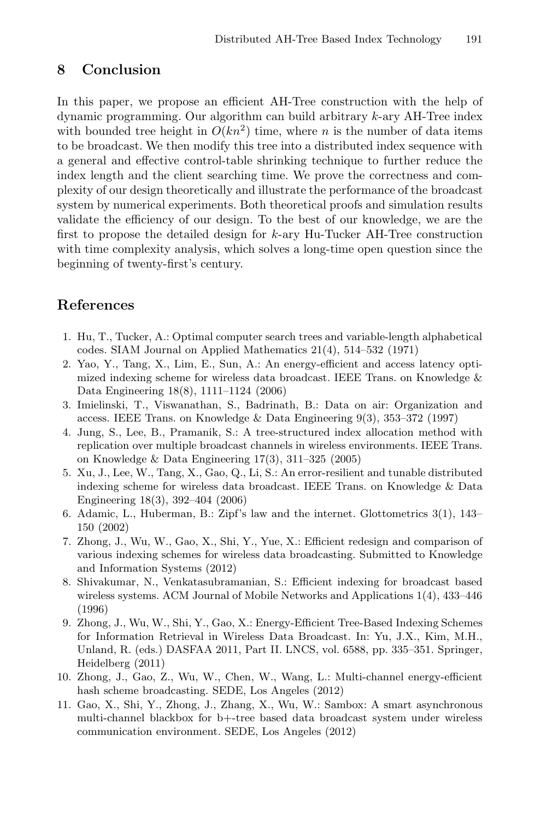# <span id="page-15-10"></span>**8 Conclusion**

In this paper, we propose an efficient AH-Tree construction with the help of dynamic programming. Our algorithm can build arbitrary k-ary AH-Tree index with bounded tree height in  $O(kn^2)$  time, where n is the number of data items to be broadcast. We then modify this tree into a distributed index sequence with a general and effective control-table shrinking technique to further reduce the index length and the client searching time. We prove the correctness and complexity of our design theoretically and illustrate the performance of the broadcast system by numerical experiments. Both theoretical proofs and simulation results validate the efficiency of our design. To the best of our knowledge, we are the first to propose the detailed design for  $k$ -ary Hu-Tucker AH-Tree construction with time complexity analysis, which solves a long-time open question since the beginning of twenty-first's century.

## <span id="page-15-2"></span><span id="page-15-1"></span><span id="page-15-0"></span>**References**

- <span id="page-15-3"></span>1. Hu, T., Tucker, A.: Optimal computer search trees and variable-length alphabetical codes. SIAM Journal on Applied Mathematics 21(4), 514–532 (1971)
- <span id="page-15-4"></span>2. Yao, Y., Tang, X., Lim, E., Sun, A.: An energy-efficient and access latency optimized indexing scheme for wireless data broadcast. IEEE Trans. on Knowledge  $\&$ Data Engineering 18(8), 1111–1124 (2006)
- <span id="page-15-5"></span>3. Imielinski, T., Viswanathan, S., Badrinath, B.: Data on air: Organization and access. IEEE Trans. on Knowledge & Data Engineering 9(3), 353–372 (1997)
- <span id="page-15-6"></span>4. Jung, S., Lee, B., Pramanik, S.: A tree-structured index allocation method with replication over multiple broadcast channels in wireless environments. IEEE Trans. on Knowledge & Data Engineering 17(3), 311–325 (2005)
- <span id="page-15-7"></span>5. Xu, J., Lee, W., Tang, X., Gao, Q., Li, S.: An error-resilient and tunable distributed indexing scheme for wireless data broadcast. IEEE Trans. on Knowledge & Data Engineering 18(3), 392–404 (2006)
- <span id="page-15-8"></span>6. Adamic, L., Huberman, B.: Zipf's law and the internet. Glottometrics 3(1), 143– 150 (2002)
- 7. Zhong, J., Wu, W., Gao, X., Shi, Y., Yue, X.: Efficient redesign and comparison of various indexing schemes for wireless data broadcasting. Submitted to Knowledge and Information Systems (2012)
- <span id="page-15-11"></span><span id="page-15-9"></span>8. Shivakumar, N., Venkatasubramanian, S.: Efficient indexing for broadcast based wireless systems. ACM Journal of Mobile Networks and Applications 1(4), 433–446 (1996)
- 9. Zhong, J., Wu, W., Shi, Y., Gao, X.: Energy-Efficient Tree-Based Indexing Schemes for Information Retrieval in Wireless Data Broadcast. In: Yu, J.X., Kim, M.H., Unland, R. (eds.) DASFAA 2011, Part II. LNCS, vol. 6588, pp. 335–351. Springer, Heidelberg (2011)
- 10. Zhong, J., Gao, Z., Wu, W., Chen, W., Wang, L.: Multi-channel energy-efficient hash scheme broadcasting. SEDE, Los Angeles (2012)
- 11. Gao, X., Shi, Y., Zhong, J., Zhang, X., Wu, W.: Sambox: A smart asynchronous multi-channel blackbox for b+-tree based data broadcast system under wireless communication environment. SEDE, Los Angeles (2012)